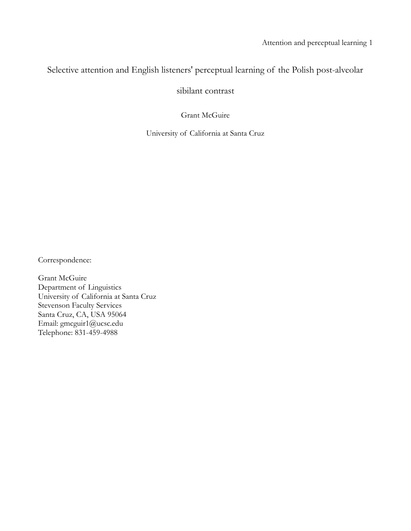# Selective attention and English listeners' perceptual learning of the Polish post-alveolar

sibilant contrast

Grant McGuire

University of California at Santa Cruz

Correspondence:

Grant McGuire Department of Linguistics University of California at Santa Cruz Stevenson Faculty Services Santa Cruz, CA, USA 95064 Email: gmcguir1@ucsc.edu Telephone: 831-459-4988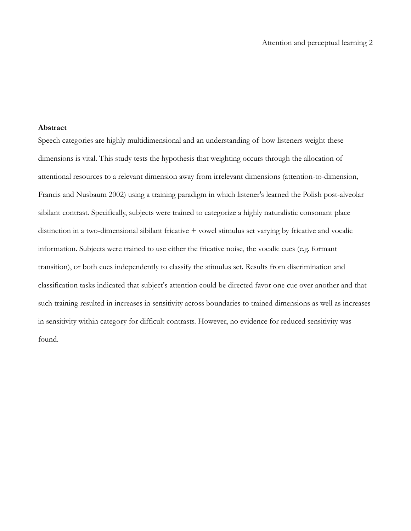#### **Abstract**

Speech categories are highly multidimensional and an understanding of how listeners weight these dimensions is vital. This study tests the hypothesis that weighting occurs through the allocation of attentional resources to a relevant dimension away from irrelevant dimensions (attention-to-dimension, Francis and Nusbaum 2002) using a training paradigm in which listener's learned the Polish post-alveolar sibilant contrast. Specifically, subjects were trained to categorize a highly naturalistic consonant place distinction in a two-dimensional sibilant fricative + vowel stimulus set varying by fricative and vocalic information. Subjects were trained to use either the fricative noise, the vocalic cues (e.g. formant transition), or both cues independently to classify the stimulus set. Results from discrimination and classification tasks indicated that subject's attention could be directed favor one cue over another and that such training resulted in increases in sensitivity across boundaries to trained dimensions as well as increases in sensitivity within category for difficult contrasts. However, no evidence for reduced sensitivity was found.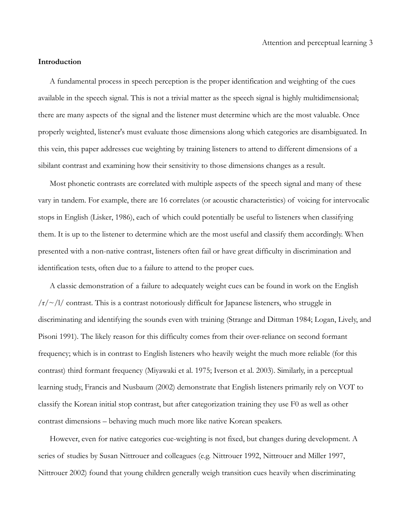#### **Introduction**

A fundamental process in speech perception is the proper identification and weighting of the cues available in the speech signal. This is not a trivial matter as the speech signal is highly multidimensional; there are many aspects of the signal and the listener must determine which are the most valuable. Once properly weighted, listener's must evaluate those dimensions along which categories are disambiguated. In this vein, this paper addresses cue weighting by training listeners to attend to different dimensions of a sibilant contrast and examining how their sensitivity to those dimensions changes as a result.

Most phonetic contrasts are correlated with multiple aspects of the speech signal and many of these vary in tandem. For example, there are 16 correlates (or acoustic characteristics) of voicing for intervocalic stops in English (Lisker, 1986), each of which could potentially be useful to listeners when classifying them. It is up to the listener to determine which are the most useful and classify them accordingly. When presented with a non-native contrast, listeners often fail or have great difficulty in discrimination and identification tests, often due to a failure to attend to the proper cues.

A classic demonstration of a failure to adequately weight cues can be found in work on the English  $/r/\sim$ /l/ contrast. This is a contrast notoriously difficult for Japanese listeners, who struggle in discriminating and identifying the sounds even with training (Strange and Dittman 1984; Logan, Lively, and Pisoni 1991). The likely reason for this difficulty comes from their over-reliance on second formant frequency; which is in contrast to English listeners who heavily weight the much more reliable (for this contrast) third formant frequency (Miyawaki et al. 1975; Iverson et al. 2003). Similarly, in a perceptual learning study, Francis and Nusbaum (2002) demonstrate that English listeners primarily rely on VOT to classify the Korean initial stop contrast, but after categorization training they use F0 as well as other contrast dimensions – behaving much much more like native Korean speakers.

However, even for native categories cue-weighting is not fixed, but changes during development. A series of studies by Susan Nittrouer and colleagues (e.g. Nittrouer 1992, Nittrouer and Miller 1997, Nittrouer 2002) found that young children generally weigh transition cues heavily when discriminating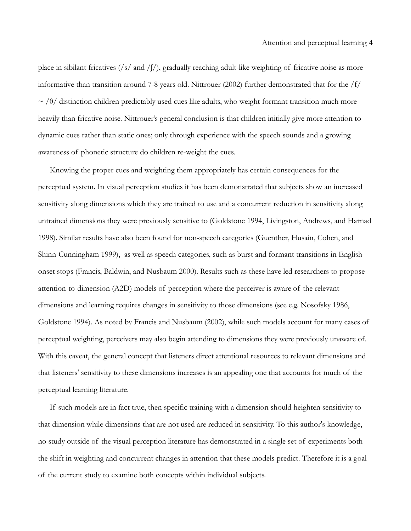place in sibilant fricatives (/s/ and / $\int$ /), gradually reaching adult-like weighting of fricative noise as more informative than transition around 7-8 years old. Nittrouer (2002) further demonstrated that for the /f/  $\sim$  /θ/ distinction children predictably used cues like adults, who weight formant transition much more heavily than fricative noise. Nittrouer's general conclusion is that children initially give more attention to dynamic cues rather than static ones; only through experience with the speech sounds and a growing awareness of phonetic structure do children re-weight the cues.

Knowing the proper cues and weighting them appropriately has certain consequences for the perceptual system. In visual perception studies it has been demonstrated that subjects show an increased sensitivity along dimensions which they are trained to use and a concurrent reduction in sensitivity along untrained dimensions they were previously sensitive to (Goldstone 1994, Livingston, Andrews, and Harnad 1998). Similar results have also been found for non-speech categories (Guenther, Husain, Cohen, and Shinn-Cunningham 1999), as well as speech categories, such as burst and formant transitions in English onset stops (Francis, Baldwin, and Nusbaum 2000). Results such as these have led researchers to propose attention-to-dimension (A2D) models of perception where the perceiver is aware of the relevant dimensions and learning requires changes in sensitivity to those dimensions (see e.g. Nosofsky 1986, Goldstone 1994). As noted by Francis and Nusbaum (2002), while such models account for many cases of perceptual weighting, perceivers may also begin attending to dimensions they were previously unaware of. With this caveat, the general concept that listeners direct attentional resources to relevant dimensions and that listeners' sensitivity to these dimensions increases is an appealing one that accounts for much of the perceptual learning literature.

If such models are in fact true, then specific training with a dimension should heighten sensitivity to that dimension while dimensions that are not used are reduced in sensitivity. To this author's knowledge, no study outside of the visual perception literature has demonstrated in a single set of experiments both the shift in weighting and concurrent changes in attention that these models predict. Therefore it is a goal of the current study to examine both concepts within individual subjects.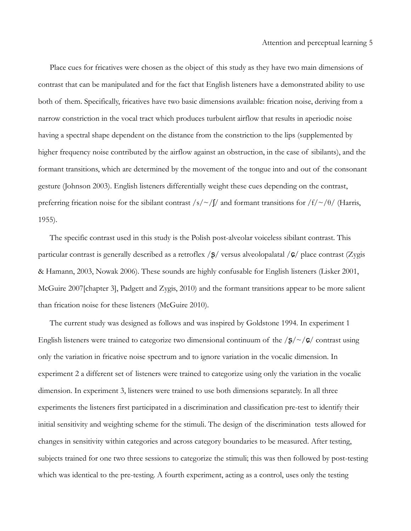Place cues for fricatives were chosen as the object of this study as they have two main dimensions of contrast that can be manipulated and for the fact that English listeners have a demonstrated ability to use both of them. Specifically, fricatives have two basic dimensions available: frication noise, deriving from a narrow constriction in the vocal tract which produces turbulent airflow that results in aperiodic noise having a spectral shape dependent on the distance from the constriction to the lips (supplemented by higher frequency noise contributed by the airflow against an obstruction, in the case of sibilants), and the formant transitions, which are determined by the movement of the tongue into and out of the consonant gesture (Johnson 2003). English listeners differentially weight these cues depending on the contrast, preferring frication noise for the sibilant contrast /s/~/ $\int$ / and formant transitions for /f/~/ $\theta$ / (Harris, 1955).

The specific contrast used in this study is the Polish post-alveolar voiceless sibilant contrast. This particular contrast is generally described as a retroflex  $/\xi$  versus alveolopalatal  $/\xi$  place contrast (Zygis & Hamann, 2003, Nowak 2006). These sounds are highly confusable for English listeners (Lisker 2001, McGuire 2007[chapter 3], Padgett and Zygis, 2010) and the formant transitions appear to be more salient than frication noise for these listeners (McGuire 2010).

The current study was designed as follows and was inspired by Goldstone 1994. In experiment 1 English listeners were trained to categorize two dimensional continuum of the  $\sqrt{s}/\sqrt{s}$  contrast using only the variation in fricative noise spectrum and to ignore variation in the vocalic dimension. In experiment 2 a different set of listeners were trained to categorize using only the variation in the vocalic dimension. In experiment 3, listeners were trained to use both dimensions separately. In all three experiments the listeners first participated in a discrimination and classification pre-test to identify their initial sensitivity and weighting scheme for the stimuli. The design of the discrimination tests allowed for changes in sensitivity within categories and across category boundaries to be measured. After testing, subjects trained for one two three sessions to categorize the stimuli; this was then followed by post-testing which was identical to the pre-testing. A fourth experiment, acting as a control, uses only the testing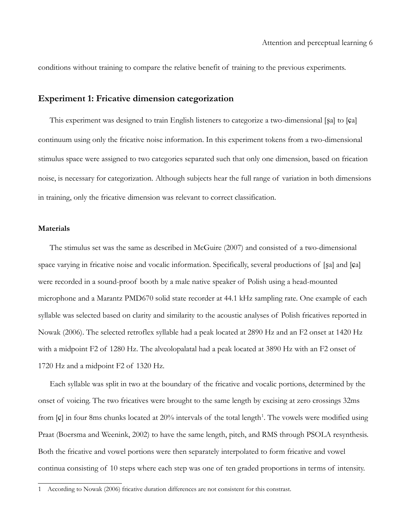conditions without training to compare the relative benefit of training to the previous experiments.

## **Experiment 1: Fricative dimension categorization**

This experiment was designed to train English listeners to categorize a two-dimensional [ʂa] to [ɕa] continuum using only the fricative noise information. In this experiment tokens from a two-dimensional stimulus space were assigned to two categories separated such that only one dimension, based on frication noise, is necessary for categorization. Although subjects hear the full range of variation in both dimensions in training, only the fricative dimension was relevant to correct classification.

## **Materials**

The stimulus set was the same as described in McGuire (2007) and consisted of a two-dimensional space varying in fricative noise and vocalic information. Specifically, several productions of [ʂa] and [ɕa] were recorded in a sound-proof booth by a male native speaker of Polish using a head-mounted microphone and a Marantz PMD670 solid state recorder at 44.1 kHz sampling rate. One example of each syllable was selected based on clarity and similarity to the acoustic analyses of Polish fricatives reported in Nowak (2006). The selected retroflex syllable had a peak located at 2890 Hz and an F2 onset at 1420 Hz with a midpoint F2 of 1280 Hz. The alveolopalatal had a peak located at 3890 Hz with an F2 onset of 1720 Hz and a midpoint F2 of 1320 Hz.

Each syllable was split in two at the boundary of the fricative and vocalic portions, determined by the onset of voicing. The two fricatives were brought to the same length by excising at zero crossings 32ms from  $\lbrack \mathfrak{c} \rbrack$  in four 8ms chunks located at 20% intervals of the total length<sup>[1](#page-5-0)</sup>. The vowels were modified using Praat (Boersma and Weenink, 2002) to have the same length, pitch, and RMS through PSOLA resynthesis. Both the fricative and vowel portions were then separately interpolated to form fricative and vowel continua consisting of 10 steps where each step was one of ten graded proportions in terms of intensity.

<span id="page-5-0"></span><sup>1</sup> According to Nowak (2006) fricative duration differences are not consistent for this constrast.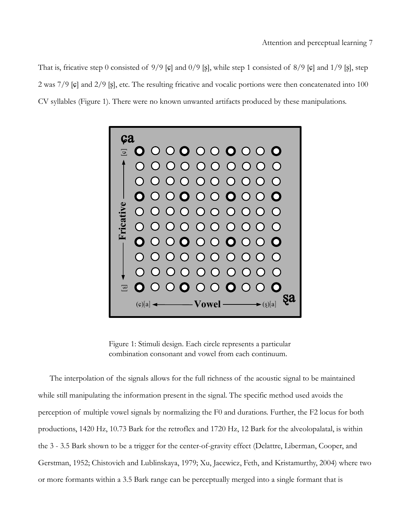That is, fricative step 0 consisted of  $9/9$  [ $\epsilon$ ] and  $0/9$  [ $\epsilon$ ], while step 1 consisted of  $8/9$  [ $\epsilon$ ] and  $1/9$  [ $\epsilon$ ], step 2 was 7/9 [ɕ] and 2/9 [ʂ], etc. The resulting fricative and vocalic portions were then concatenated into 100 CV syllables (Figure 1). There were no known unwanted artifacts produced by these manipulations.



Figure 1: Stimuli design. Each circle represents a particular combination consonant and vowel from each continuum.

The interpolation of the signals allows for the full richness of the acoustic signal to be maintained while still manipulating the information present in the signal. The specific method used avoids the perception of multiple vowel signals by normalizing the F0 and durations. Further, the F2 locus for both productions, 1420 Hz, 10.73 Bark for the retroflex and 1720 Hz, 12 Bark for the alveolopalatal, is within the 3 - 3.5 Bark shown to be a trigger for the center-of-gravity effect (Delattre, Liberman, Cooper, and Gerstman, 1952; Chistovich and Lublinskaya, 1979; Xu, Jacewicz, Feth, and Kristamurthy, 2004) where two or more formants within a 3.5 Bark range can be perceptually merged into a single formant that is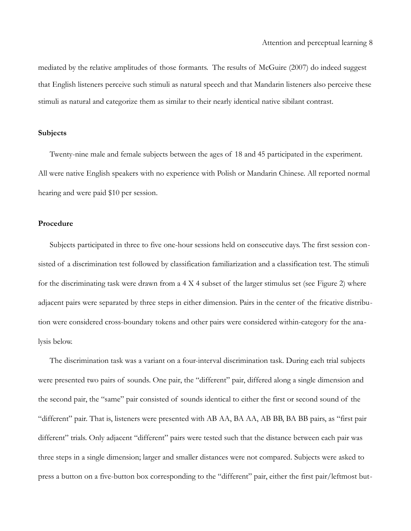mediated by the relative amplitudes of those formants. The results of McGuire (2007) do indeed suggest that English listeners perceive such stimuli as natural speech and that Mandarin listeners also perceive these stimuli as natural and categorize them as similar to their nearly identical native sibilant contrast.

#### **Subjects**

Twenty-nine male and female subjects between the ages of 18 and 45 participated in the experiment. All were native English speakers with no experience with Polish or Mandarin Chinese. All reported normal hearing and were paid \$10 per session.

## **Procedure**

Subjects participated in three to five one-hour sessions held on consecutive days. The first session consisted of a discrimination test followed by classification familiarization and a classification test. The stimuli for the discriminating task were drawn from a 4 X 4 subset of the larger stimulus set (see [Figure 2\)](#page-9-0) where adjacent pairs were separated by three steps in either dimension. Pairs in the center of the fricative distribution were considered cross-boundary tokens and other pairs were considered within-category for the analysis below.

The discrimination task was a variant on a four-interval discrimination task. During each trial subjects were presented two pairs of sounds. One pair, the "different" pair, differed along a single dimension and the second pair, the "same" pair consisted of sounds identical to either the first or second sound of the "different" pair. That is, listeners were presented with AB AA, BA AA, AB BB, BA BB pairs, as "first pair different" trials. Only adjacent "different" pairs were tested such that the distance between each pair was three steps in a single dimension; larger and smaller distances were not compared. Subjects were asked to press a button on a five-button box corresponding to the "different" pair, either the first pair/leftmost but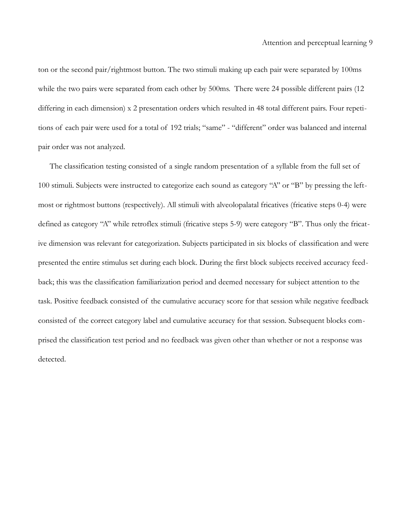ton or the second pair/rightmost button. The two stimuli making up each pair were separated by 100ms while the two pairs were separated from each other by 500ms. There were 24 possible different pairs (12) differing in each dimension) x 2 presentation orders which resulted in 48 total different pairs. Four repetitions of each pair were used for a total of 192 trials; "same" - "different" order was balanced and internal pair order was not analyzed.

The classification testing consisted of a single random presentation of a syllable from the full set of 100 stimuli. Subjects were instructed to categorize each sound as category "A" or "B" by pressing the leftmost or rightmost buttons (respectively). All stimuli with alveolopalatal fricatives (fricative steps 0-4) were defined as category "A" while retroflex stimuli (fricative steps 5-9) were category "B". Thus only the fricative dimension was relevant for categorization. Subjects participated in six blocks of classification and were presented the entire stimulus set during each block. During the first block subjects received accuracy feedback; this was the classification familiarization period and deemed necessary for subject attention to the task. Positive feedback consisted of the cumulative accuracy score for that session while negative feedback consisted of the correct category label and cumulative accuracy for that session. Subsequent blocks comprised the classification test period and no feedback was given other than whether or not a response was detected.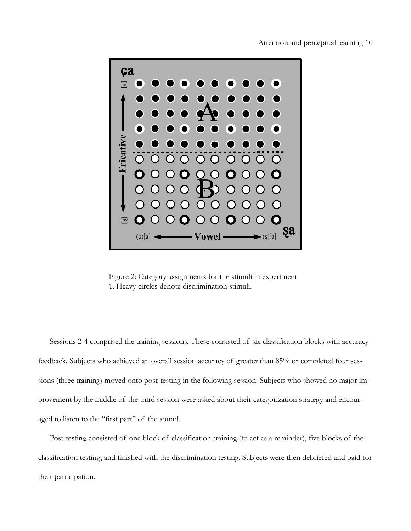

<span id="page-9-0"></span>Figure 2: Category assignments for the stimuli in experiment 1. Heavy circles denote discrimination stimuli.

Sessions 2-4 comprised the training sessions. These consisted of six classification blocks with accuracy feedback. Subjects who achieved an overall session accuracy of greater than 85% or completed four sessions (three training) moved onto post-testing in the following session. Subjects who showed no major improvement by the middle of the third session were asked about their categorization strategy and encouraged to listen to the "first part" of the sound.

Post-testing consisted of one block of classification training (to act as a reminder), five blocks of the classification testing, and finished with the discrimination testing. Subjects were then debriefed and paid for their participation.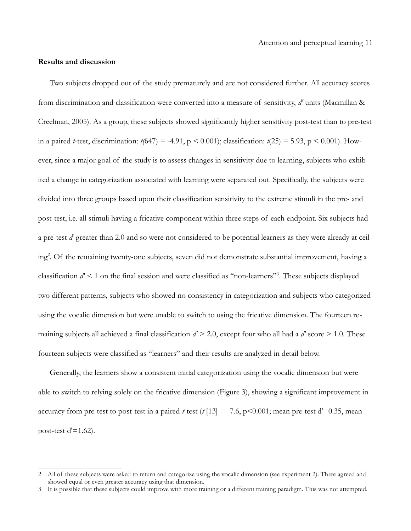#### **Results and discussion**

Two subjects dropped out of the study prematurely and are not considered further. All accuracy scores from discrimination and classification were converted into a measure of sensitivity, *d'* units (Macmillan & Creelman, 2005). As a group, these subjects showed significantly higher sensitivity post-test than to pre-test in a paired *t*-test, discrimination:  $t/(647) = -4.91$ ,  $p < 0.001$ ); classification:  $t(25) = 5.93$ ,  $p < 0.001$ ). However, since a major goal of the study is to assess changes in sensitivity due to learning, subjects who exhibited a change in categorization associated with learning were separated out. Specifically, the subjects were divided into three groups based upon their classification sensitivity to the extreme stimuli in the pre- and post-test, i.e. all stimuli having a fricative component within three steps of each endpoint. Six subjects had a pre-test *d*' greater than 2.0 and so were not considered to be potential learners as they were already at ceiling[2](#page-10-0) . Of the remaining twenty-one subjects, seven did not demonstrate substantial improvement, having a classification *d'* < 1 on the final session and were classified as "non-learners"[3](#page-10-1) . These subjects displayed two different patterns, subjects who showed no consistency in categorization and subjects who categorized using the vocalic dimension but were unable to switch to using the fricative dimension. The fourteen remaining subjects all achieved a final classification *d'* > 2.0, except four who all had a *d'* score > 1.0. These fourteen subjects were classified as "learners" and their results are analyzed in detail below.

Generally, the learners show a consistent initial categorization using the vocalic dimension but were able to switch to relying solely on the fricative dimension [\(Figure 3\)](#page-11-0), showing a significant improvement in accuracy from pre-test to post-test in a paired *t*-test ( $t$  [13] = -7.6, p<0.001; mean pre-test d'=0.35, mean post-test  $d' = 1.62$ ).

<span id="page-10-0"></span><sup>2</sup> All of these subjects were asked to return and categorize using the vocalic dimension (see experiment 2). Three agreed and showed equal or even greater accuracy using that dimension.

<span id="page-10-1"></span><sup>3</sup> It is possible that these subjects could improve with more training or a different training paradigm. This was not attempted.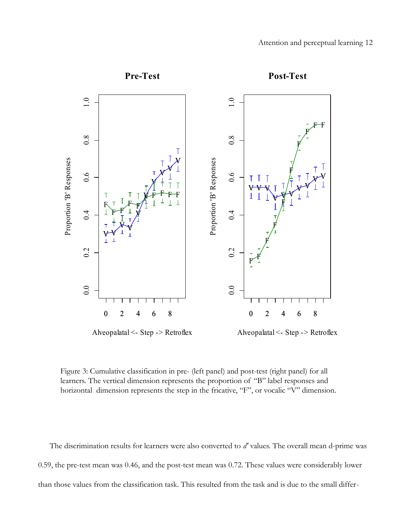

<span id="page-11-0"></span>Figure 3: Cumulative classification in pre- (left panel) and post-test (right panel) for all learners. The vertical dimension represents the proportion of "B" label responses and horizontal dimension represents the step in the fricative, "F", or vocalic "V" dimension.

The discrimination results for learners were also converted to *d'* values. The overall mean d-prime was 0.59, the pre-test mean was 0.46, and the post-test mean was 0.72. These values were considerably lower than those values from the classification task. This resulted from the task and is due to the small differ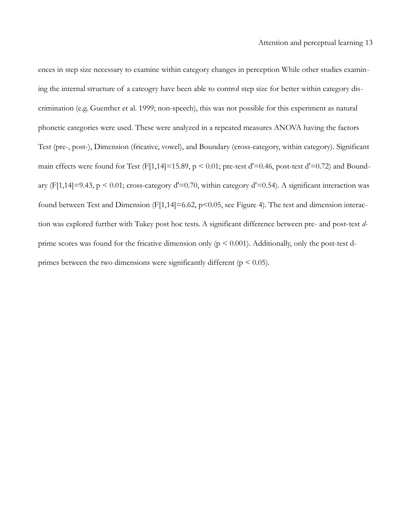ences in step size necessary to examine within category changes in perception While other studies examining the internal structure of a cateogry have been able to control step size for better within category discrimination (e.g. Guenther et al. 1999; non-speech), this was not possible for this experiment as natural phonetic categories were used. These were analyzed in a repeated measures ANOVA having the factors Test (pre-, post-), Dimension (fricative, vowel), and Boundary (cross-category, within category). Significant main effects were found for Test (F[1,14]=15.89,  $p < 0.01$ ; pre-test d'=0.46, post-test d'=0.72) and Boundary (F[1,14]=9.43,  $p \le 0.01$ ; cross-category d'=0.70, within category d'=0.54). A significant interaction was found between Test and Dimension (F[1,14]=6.62, p<0.05, see [Figure 4\)](#page-13-0). The test and dimension interaction was explored further with Tukey post hoc tests. A significant difference between pre- and post-test *d*prime scores was found for the fricative dimension only ( $p \le 0.001$ ). Additionally, only the post-test dprimes between the two dimensions were significantly different ( $p \le 0.05$ ).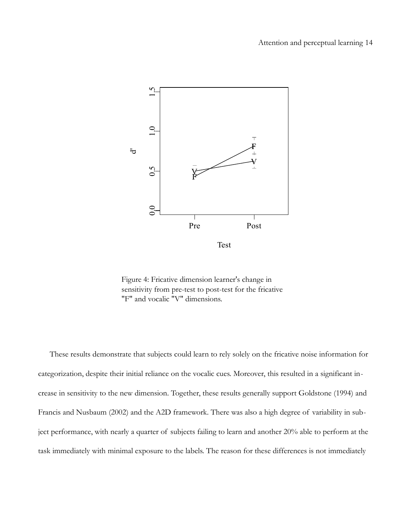

<span id="page-13-0"></span>Figure 4: Fricative dimension learner's change in sensitivity from pre-test to post-test for the fricative "F" and vocalic "V" dimensions.

These results demonstrate that subjects could learn to rely solely on the fricative noise information for categorization, despite their initial reliance on the vocalic cues. Moreover, this resulted in a significant increase in sensitivity to the new dimension. Together, these results generally support Goldstone (1994) and Francis and Nusbaum (2002) and the A2D framework. There was also a high degree of variability in subject performance, with nearly a quarter of subjects failing to learn and another 20% able to perform at the task immediately with minimal exposure to the labels. The reason for these differences is not immediately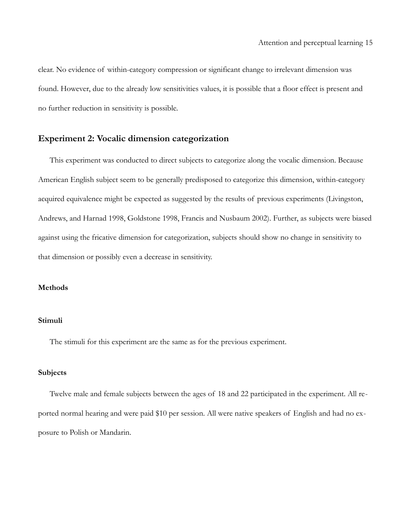clear. No evidence of within-category compression or significant change to irrelevant dimension was found. However, due to the already low sensitivities values, it is possible that a floor effect is present and no further reduction in sensitivity is possible.

# **Experiment 2: Vocalic dimension categorization**

This experiment was conducted to direct subjects to categorize along the vocalic dimension. Because American English subject seem to be generally predisposed to categorize this dimension, within-category acquired equivalence might be expected as suggested by the results of previous experiments (Livingston, Andrews, and Harnad 1998, Goldstone 1998, Francis and Nusbaum 2002). Further, as subjects were biased against using the fricative dimension for categorization, subjects should show no change in sensitivity to that dimension or possibly even a decrease in sensitivity.

## **Methods**

## **Stimuli**

The stimuli for this experiment are the same as for the previous experiment.

## **Subjects**

Twelve male and female subjects between the ages of 18 and 22 participated in the experiment. All reported normal hearing and were paid \$10 per session. All were native speakers of English and had no exposure to Polish or Mandarin.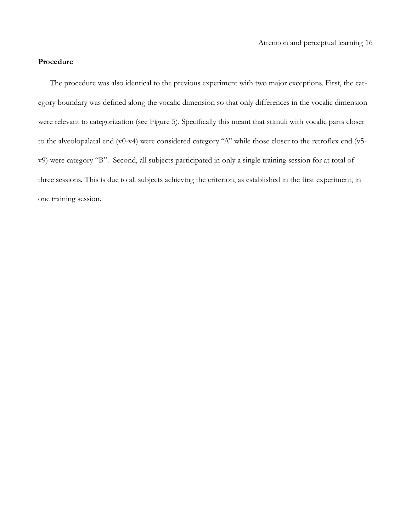## **Procedure**

The procedure was also identical to the previous experiment with two major exceptions. First, the category boundary was defined along the vocalic dimension so that only differences in the vocalic dimension were relevant to categorization (see [Figure 5\)](#page-16-0). Specifically this meant that stimuli with vocalic parts closer to the alveolopalatal end (v0-v4) were considered category "A" while those closer to the retroflex end (v5 v9) were category "B". Second, all subjects participated in only a single training session for at total of three sessions. This is due to all subjects achieving the criterion, as established in the first experiment, in one training session.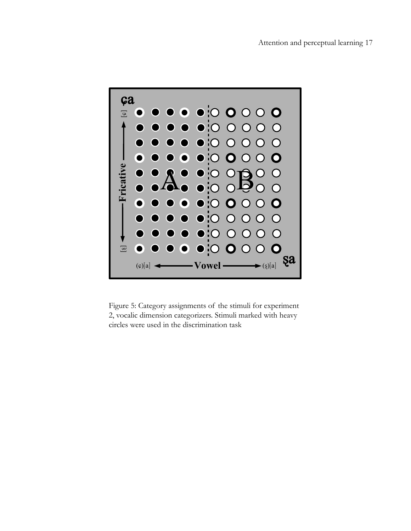<span id="page-16-0"></span>

Figure 5: Category assignments of the stimuli for experiment 2, vocalic dimension categorizers. Stimuli marked with heavy circles were used in the discrimination task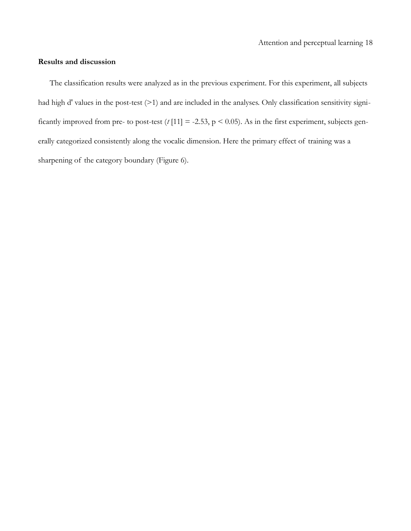## **Results and discussion**

The classification results were analyzed as in the previous experiment. For this experiment, all subjects had high d' values in the post-test (>1) and are included in the analyses. Only classification sensitivity significantly improved from pre- to post-test  $(t \mid 11] = -2.53$ ,  $p \le 0.05$ ). As in the first experiment, subjects generally categorized consistently along the vocalic dimension. Here the primary effect of training was a sharpening of the category boundary [\(Figure 6\)](#page-18-0).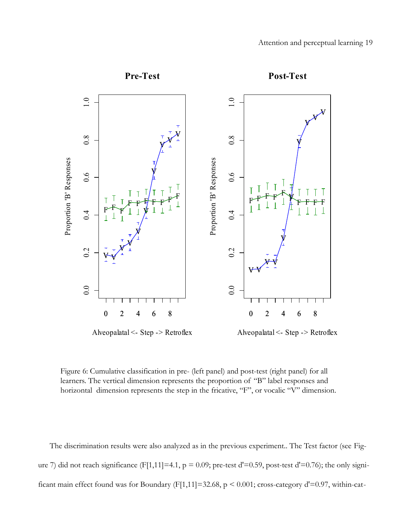

<span id="page-18-0"></span>Figure 6: Cumulative classification in pre- (left panel) and post-test (right panel) for all learners. The vertical dimension represents the proportion of "B" label responses and horizontal dimension represents the step in the fricative, "F", or vocalic "V" dimension.

The discrimination results were also analyzed as in the previous experiment.. The Test factor (see [Fig](#page-19-0)[ure 7\)](#page-19-0) did not reach significance (F[1,11]=4.1,  $p = 0.09$ ; pre-test d'=0.59, post-test d'=0.76); the only significant main effect found was for Boundary (F[1,11]=32.68,  $p \le 0.001$ ; cross-category d'=0.97, within-cat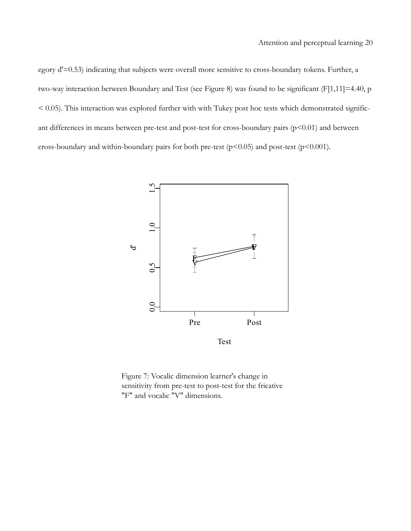egory d'=0.53) indicating that subjects were overall more sensitive to cross-boundary tokens. Further, a two-way interaction between Boundary and Test (see [Figure 8\)](#page-20-0) was found to be significant (F[1,11]=4.40, p < 0.05). This interaction was explored further with with Tukey post hoc tests which demonstrated significant differences in means between pre-test and post-test for cross-boundary pairs (p<0.01) and between cross-boundary and within-boundary pairs for both pre-test ( $p$ <0.05) and post-test ( $p$ <0.001).



<span id="page-19-0"></span>Figure 7: Vocalic dimension learner's change in sensitivity from pre-test to post-test for the fricative "F" and vocalic "V" dimensions.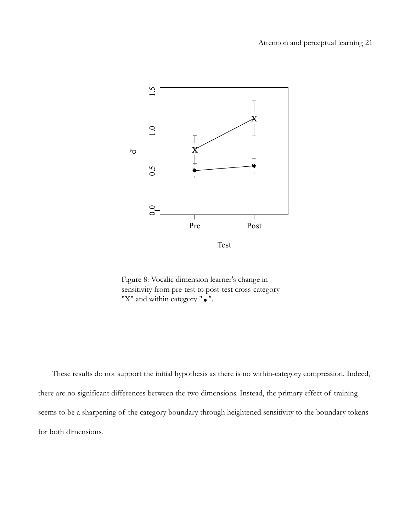

<span id="page-20-0"></span>Figure 8: Vocalic dimension learner's change in sensitivity from pre-test to post-test cross-category "X" and within category " $\bullet$ ".

 These results do not support the initial hypothesis as there is no within-category compression. Indeed, there are no significant differences between the two dimensions. Instead, the primary effect of training seems to be a sharpening of the category boundary through heightened sensitivity to the boundary tokens for both dimensions.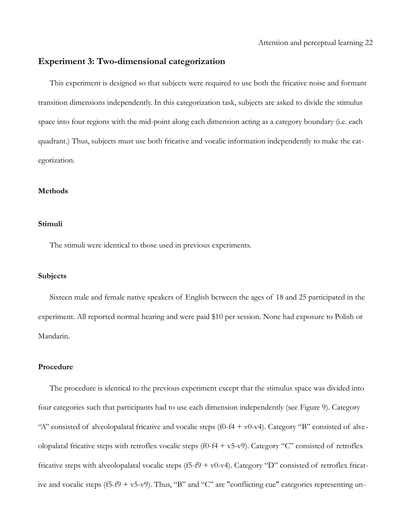## **Experiment 3: Two-dimensional categorization**

This experiment is designed so that subjects were required to use both the fricative noise and formant transition dimensions independently. In this categorization task, subjects are asked to divide the stimulus space into four regions with the mid-point along each dimension acting as a category boundary (i.e. each quadrant.) Thus, subjects must use both fricative and vocalic information independently to make the categorization.

#### **Methods**

#### **Stimuli**

The stimuli were identical to those used in previous experiments.

#### **Subjects**

Sixteen male and female native speakers of English between the ages of 18 and 25 participated in the experiment. All reported normal hearing and were paid \$10 per session. None had exposure to Polish or Mandarin.

#### **Procedure**

The procedure is identical to the previous experiment except that the stimulus space was divided into four categories such that participants had to use each dimension independently (see [Figure 9\)](#page-22-0). Category "A" consisted of alveolopalatal fricative and vocalic steps (f0-f4 + v0-v4). Category "B" consisted of alveolopalatal fricative steps with retroflex vocalic steps (f0-f4 + v5-v9). Category "C" consisted of retroflex fricative steps with alveolopalatal vocalic steps (f5-f9 + v0-v4). Category "D" consisted of retroflex fricative and vocalic steps (f5-f9 + v5-v9). Thus, "B" and "C" are "conflicting cue" categories representing un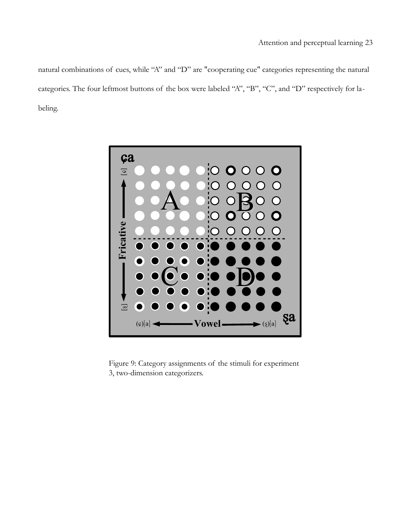natural combinations of cues, while "A" and "D" are "cooperating cue" categories representing the natural categories. The four leftmost buttons of the box were labeled "A", "B", "C", and "D" respectively for labeling.

<span id="page-22-0"></span>

Figure 9: Category assignments of the stimuli for experiment 3, two-dimension categorizers.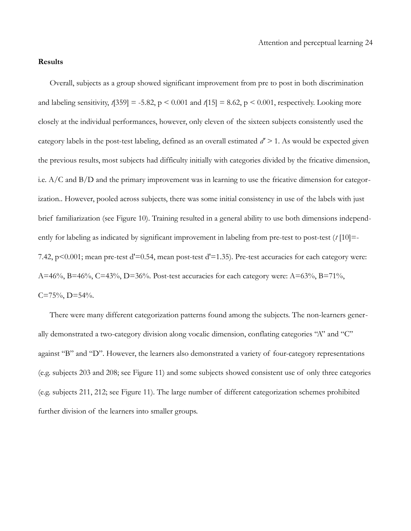#### **Results**

Overall, subjects as a group showed significant improvement from pre to post in both discrimination and labeling sensitivity,  $t[359] = -5.82$ ,  $p \le 0.001$  and  $t[15] = 8.62$ ,  $p \le 0.001$ , respectively. Looking more closely at the individual performances, however, only eleven of the sixteen subjects consistently used the category labels in the post-test labeling, defined as an overall estimated *d' >* 1. As would be expected given the previous results, most subjects had difficulty initially with categories divided by the fricative dimension, i.e. A/C and B/D and the primary improvement was in learning to use the fricative dimension for categorization.. However, pooled across subjects, there was some initial consistency in use of the labels with just brief familiarization (see [Figure 10\)](#page-24-0). Training resulted in a general ability to use both dimensions independently for labeling as indicated by significant improvement in labeling from pre-test to post-test (*t* [10] =-7.42, p<0.001; mean pre-test d'=0.54, mean post-test d'=1.35). Pre-test accuracies for each category were: A=46%, B=46%, C=43%, D=36%. Post-test accuracies for each category were: A=63%, B=71%,  $C=75\%$ , D=54%.

There were many different categorization patterns found among the subjects. The non-learners generally demonstrated a two-category division along vocalic dimension, conflating categories "A" and "C" against "B" and "D". However, the learners also demonstrated a variety of four-category representations (e.g. subjects 203 and 208; see [Figure 11\)](#page-25-0) and some subjects showed consistent use of only three categories (e.g. subjects 211, 212; see [Figure 11\)](#page-25-0). The large number of different categorization schemes prohibited further division of the learners into smaller groups.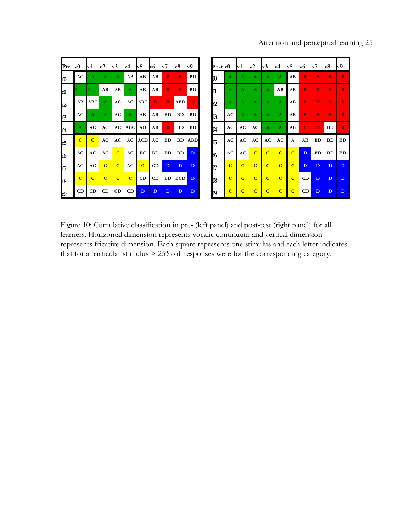# Attention and perceptual learning 25

| Pre            | v0             | lv1            | v2             | $ {\bf v}3 $   | v4             | $ {\bf v5} $ | v6 | $ {\bf v}7$  | lv8        | v9           |     | $\bf{Post}$ $ {\bf v0} $ |                | v1             | v2             | $ {\rm v}3 $   | v4             | v5          | lv6          | v7        | $ {\bf v}8 $ | v9           |
|----------------|----------------|----------------|----------------|----------------|----------------|--------------|----|--------------|------------|--------------|-----|--------------------------|----------------|----------------|----------------|----------------|----------------|-------------|--------------|-----------|--------------|--------------|
| Ю              | AC             | A              | A              | A              | AB             | AB           | AB | B            | $\bf{B}$   | <b>BD</b>    | IЮ  |                          | A              | A              | A              | A              | A              | AB          | B            | в         | B            | B            |
| lf1            |                |                | AB             | AB             | A              | AB           | AB | B            | B          | <b>BD</b>    | f1  |                          | A              | A              | A              | $\mathbf{A}$   | AB             | AB          | B            | в         | B            | в            |
| lf2            | AB             | ABC            | $\mathbf{A}$   | AC             | AC             | ABC          | B  | B            | ABD        | B            | f2  |                          | A              | $\mathbf A$    | A              | A              | $\mathbf{A}$   | AB          | B            | в         | B            | B            |
| f3             | AC             | A              | A              | AC             | A              | AВ           | AB | BD           | <b>BD</b>  | <b>BD</b>    | lf3 |                          | AC             | A              | A              | A              | A              | AB          | B            | B         | B            | B            |
| f4             | A              | AC             | AC             | AC             | <b>ABC</b>     | AD           | AB | B            | <b>BD</b>  | <b>BD</b>    | f4  |                          | AC             | AC             | AC             | $\mathbf{A}$   | A              | AB          | $\bf{B}$     | в         | BD           | B.           |
| lf5            | $\mathbf C$    | $\overline{c}$ | AC             | AC             | AC             | ACD          | AC | <b>BD</b>    | <b>BD</b>  | <b>ABD</b>   | lf5 |                          | AC             | AC             | AC             | AC             | AC             | A           | AB           | <b>BD</b> | BD           | <b>BD</b>    |
| f <sub>6</sub> | AC             | AC             | AC             | $\overline{C}$ | AC             | BС           | BD | <b>BD</b>    | BD         | D            | lf6 |                          | AC             | AC             | $\overline{C}$ | $\overline{C}$ | $\overline{C}$ | $\mathbf C$ | D            | <b>BD</b> | <b>BD</b>    | <b>BD</b>    |
| f7             | AC             | AC             | $\overline{C}$ | $\mathbf C$    | AC             | $\mathbf{C}$ | CD | $\mathbf{D}$ | D          | $\mathbf{D}$ | f7  |                          | $\mathbf C$    | $\mathbf C$    | $\overline{C}$ | $\mathbf C$    | $\mathbf C$    | $\mathbf C$ | $\mathbf{D}$ | D         | $\mathbf{D}$ | $\mathbf{D}$ |
| lf8            | $\overline{C}$ | $\overline{c}$ | $\overline{C}$ | $\mathbf C$    | $\overline{C}$ | CD           | CD | BD           | <b>BCD</b> | D            | f8  |                          | $\overline{c}$ | $\overline{C}$ | $\overline{c}$ | $\overline{c}$ | $\overline{C}$ | $\mathbf C$ | CD           | D         | D            | D            |
| lf9            | CD             | CD             | CD             | CD             | CD             | D            | D  | $\mathbf{D}$ | D          | D            | f9  |                          | $\overline{C}$ | $\overline{C}$ | $\overline{C}$ | $\mathbf C$    | $\mathbf C$    | $\mathbf C$ | CD           | D         | D            | D            |

| $\bf{Post}\,\bf{V0}$ |                | v1             | $\mathbf{v2}$  | v3             | v4             | v5             | v6           | $_{\rm v7}$  | $ {\bf v}8 $ | v9           |
|----------------------|----------------|----------------|----------------|----------------|----------------|----------------|--------------|--------------|--------------|--------------|
| fO                   | A              | A              | $\mathbf{A}$   | A              | A              | AB             | $\bf{B}$     | B            | B            | B            |
| f1                   | $\mathbf{A}$   | $\mathbf{A}$   | $\mathbf{A}$   | A              | AB             | AB             | $\bf{B}$     | B            | B            | B            |
| f2                   | $\mathbf{A}$   | $\mathbf{A}$   | $\mathbf{A}$   | $\mathbf{A}$   | $\mathbf{A}$   | AB             | $\bf{B}$     | B            | B            | B            |
| f3                   | AC             | A              | $\mathbf{A}$   | $\mathbf{A}$   | $\mathbf{A}$   | AB             | $\bf{B}$     | B            | B            | B            |
| f4                   | AC             | AC             | AC             | $\mathbf A$    | A              | AВ             | B            | в            | BD           | B            |
| f5                   | AC             | AC             | AC             | AC             | AC             | A              | AB           | BD           | BD           | BD           |
| f6                   | AC             | AC             | $\overline{c}$ | $\overline{c}$ | $\overline{C}$ | $\overline{C}$ | D            | <b>BD</b>    | BD           | BD           |
| f7                   | $\overline{C}$ | $\overline{C}$ | $\mathbf C$    | $\overline{C}$ | $\overline{C}$ | $\overline{C}$ | $\mathbf{D}$ | $\mathbf{D}$ | $\mathbf{D}$ | $\mathbf{D}$ |
| f8                   | $\overline{C}$ | $\overline{C}$ | $\mathbf C$    | $\mathbf C$    | $\overline{C}$ | $\overline{C}$ | CD           | $\mathbf{D}$ | $\mathbf{D}$ | $\mathbf{D}$ |
| f9                   | $\overline{c}$ | $\mathbf C$    | $\mathbf C$    | $\mathbf C$    | $\mathbf C$    | $\overline{C}$ | CD           | $\mathbf{D}$ | $\mathbf{D}$ | $\mathbf{D}$ |

<span id="page-24-0"></span>Figure 10: Cumulative classification in pre- (left panel) and post-test (right panel) for all learners. Horizontal dimension represents vocalic continuum and vertical dimension represents fricative dimension. Each square represents one stimulus and each letter indicates that for a particular stimulus > 25% of responses were for the corresponding category.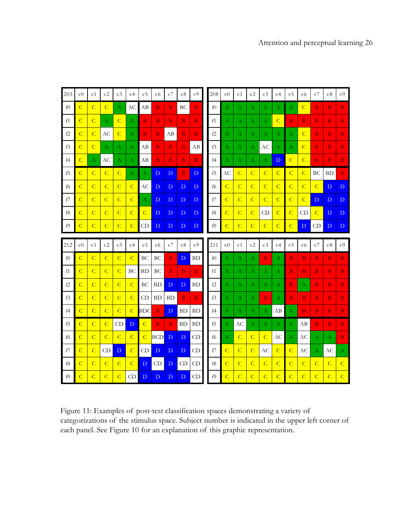| 203           | v <sub>0</sub> | v1             | v2             | v3             | v4               | $_{\rm v5}$    | v6                      | v7           | v8          | v9             | 208 | $_{\rm v0}$    | v1             | v2               | v3             | v4               | v5             | v6             | v7             | v8              | v9              |
|---------------|----------------|----------------|----------------|----------------|------------------|----------------|-------------------------|--------------|-------------|----------------|-----|----------------|----------------|------------------|----------------|------------------|----------------|----------------|----------------|-----------------|-----------------|
| f0            | $\overline{C}$ | $\overline{C}$ | $\overline{C}$ | Α              | AC               | AB             | B                       | B            | BC          | $\bf{B}$       | f() | Α              | А              | А                | А              | А                | A              | $\overline{C}$ | B              | $\bf{B}$        | B <sub>1</sub>  |
| f1            | $\overline{C}$ | $\overline{C}$ | А              | $\mathcal{C}$  | А                | $\bf{B}$       | $\overline{\mathbf{B}}$ | B            | $\bf{B}$    | $\bf{B}$       | f1  | А              | А              | $\mathbf{A}$     | А              | $\overline{C}$   | $\bf{B}$       | B.             | $\overline{B}$ | B               | B               |
| f2            | $\overline{C}$ | $\overline{C}$ | AC             | $\overline{C}$ | $\bf{A}$         | B.             | B                       | AB           | B.          | $\bf{B}$       | f2  | Α              | А              | А                | А              | А                | A              | $\overline{C}$ | B              | $\mathbf{B}$    | $\bf{B}$        |
| f3            | $\overline{C}$ | $\overline{C}$ | А              | Α              | А                | AB             | $\bf{B}$                | $\, {\bf B}$ | $\bf{B}$    | AB             | f3  | Α              | А              | A                | AC             | А                | A              | $\overline{C}$ | B              | $\bf{B}$        | B               |
| f4            | $\overline{C}$ | А              | AC             | А              | А                | AB             | $\overline{\mathbf{B}}$ | B            | $\bf{B}$    | $\bf{B}$       | f4  | Α              | А              | $\bf{A}$         | А              | D                | $\overline{C}$ | $\overline{C}$ | B              | $\bf{B}$        | $\bf{B}$        |
| f5            | $\overline{C}$ | $\overline{C}$ | $\overline{C}$ | $\overline{C}$ | $\boldsymbol{A}$ | A              | D                       | D            | B.          | D              | f5  | АC             | $\overline{C}$ | $\overline{C}$   | $\overline{C}$ | $\overline{C}$   | $\overline{C}$ | $\overline{C}$ | ВC             | <b>BD</b>       | $\bf{B}$        |
| f6            | $\overline{C}$ | $\overline{C}$ | $\overline{C}$ | $\overline{C}$ | $\overline{C}$   | <b>AC</b>      | D                       | D            | D           | D              | f6  | $\overline{C}$ | $\overline{C}$ | $\overline{C}$   | $\overline{C}$ | $\overline{C}$   | $\overline{C}$ | $\overline{C}$ | $\overline{C}$ | $\mathbf{D}$    | $\mathbf{D}$    |
| f7            | $\overline{C}$ | $\overline{C}$ | $\overline{C}$ | $\overline{C}$ | $\overline{C}$   | $\bf{A}$       | D                       | D            | D           | D              | f7  | $\overline{C}$ | $\overline{C}$ | $\overline{C}$   | $\overline{C}$ | $\overline{C}$   | $\overline{C}$ | $\overline{C}$ | D              | D               | D               |
| f8            | $\overline{C}$ | $\overline{C}$ | $\overline{C}$ | $\overline{C}$ | $\overline{C}$   | $\overline{C}$ | D                       | D            | D           | D              | f8  | $\overline{C}$ | $\overline{C}$ | $\overline{C}$   | CD             | $\overline{C}$   | $\overline{C}$ | CD             | $\overline{C}$ | D               | D               |
| f9            | $\overline{C}$ | $\overline{C}$ | $\overline{C}$ | $\overline{C}$ | $\overline{C}$   | CD             | D                       | D            | D           | D              | f9  | $\overline{C}$ | $\overline{C}$ | $\overline{C}$   | $\overline{C}$ | $\overline{C}$   | $\overline{C}$ | D              | CD             | D               | D               |
|               |                |                |                |                |                  |                |                         |              |             |                |     |                |                |                  |                |                  |                |                |                |                 |                 |
| 212           | v <sub>0</sub> | v1             | v2             | v3             | v4               | v5             | v6                      | v7           | v8          | v <sub>0</sub> | 211 | v <sub>0</sub> | v1             | v2               | v3             | v4               | v <sub>5</sub> | v6             | v7             | v8              | ${\rm v}9$      |
| f0            | $\overline{C}$ | $\overline{C}$ | $\overline{C}$ | $\overline{C}$ | $\overline{C}$   | BC             | ВC                      | B            | $\mathbf D$ | BD             | f0  | Α              | А              | $\boldsymbol{A}$ | B.             | А                | $\bf{B}$       | B              | B              | $\bf{B}$        | $\, {\bf B} \,$ |
| f1            | $\overline{C}$ | $\overline{C}$ | $\overline{C}$ | $\overline{C}$ | <b>BC</b>        | BD             | <b>BC</b>               | $\bf{B}$     | $\bf{B}$    | $\bf{B}$       | f1  | Α              | А              | А                | А              | А                | $\bf{B}$       | B              | B              | $\, {\bf B} \,$ | B               |
| f2            | $\overline{C}$ | $\overline{C}$ | $\overline{C}$ | $\overline{C}$ | $\overline{C}$   | BC             | <b>BD</b>               | $\mathbf{D}$ | D           | BD             | f2  | А              | А              | $\bf{A}$         | А              | $\boldsymbol{A}$ | B.             | А              | B              | $\bf{B}$        | $\bf{B}$        |
| f3            | $\overline{C}$ | $\overline{C}$ | $\overline{C}$ | $\overline{C}$ | $\overline{C}$   | CD             | <b>BD</b>               | BD           | $\bf{B}$    | $\mathbf{B}$   | f3  | Α              | А              | $\bf{A}$         | B              | А                | $\bf{B}$       | B              | $\bf{B}$       | $\, {\bf B}$    | $\, {\bf B} \,$ |
| f4            | $\overline{C}$ | $\overline{C}$ | $\overline{C}$ | $\overline{C}$ | $\overline{C}$   | BDC            | B                       | D            | <b>BD</b>   | <b>BD</b>      | f4  | А              | А              | А                | А              | AB               | Α              | B              | B              | $\bf{B}$        | B               |
| f5            | $\overline{C}$ | $\overline{C}$ | $\mathsf{C}$   | CD             | $\mathbf{D}$     | $\overline{C}$ | $\overline{\mathbf{B}}$ | B            | <b>BD</b>   | <b>BD</b>      | f5  | А              | AC             | $\bf{A}$         | А              | А                | A              | АB             | $\overline{B}$ | $\bf{B}$        | $\bf{B}$        |
| ${\rm f}6$    | $\overline{C}$ | $\overline{C}$ | $\overline{C}$ | $\overline{C}$ | $\overline{C}$   | $\overline{C}$ | <b>BCD</b>              | D            | ${\bf D}$   | CD             | f6  | А              | $\overline{C}$ | $\overline{C}$   | $\overline{C}$ | AC               | A              | AC             | А              | $\mathbf{A}$    | $\, {\bf B} \,$ |
| $\mathbf{f}7$ | $\overline{C}$ | $\overline{C}$ | CD             | $\mathbf{D}$   | $\overline{C}$   | CD             | D                       | $\mathbf{D}$ | D           | CD             | f7  | $\overline{C}$ | $\overline{C}$ | $\overline{C}$   | АC             | $\overline{C}$   | $\overline{C}$ | АC             | А              | AC              | Α               |
| ${\rm f}8$    | $\overline{C}$ | $\overline{C}$ | $\mathsf{C}$   | $\overline{C}$ | $\overline{C}$   | $\mathbf{D}$   | CD                      | D            | CD          | CD             | f8  | $\overline{C}$ | $\overline{C}$ | $\overline{C}$   | $\overline{C}$ | $\overline{C}$   | $\overline{C}$ | $\overline{C}$ | $\overline{C}$ | $\overline{C}$  | $\mathsf{C}$    |

<span id="page-25-0"></span>Figure 11: Examples of post-test classification spaces demonstrating a variety of categorizations of the stimulus space. Subject number is indicated in the upper left corner of each panel. See [Figure 10](#page-24-0) for an explanation of this graphic representation.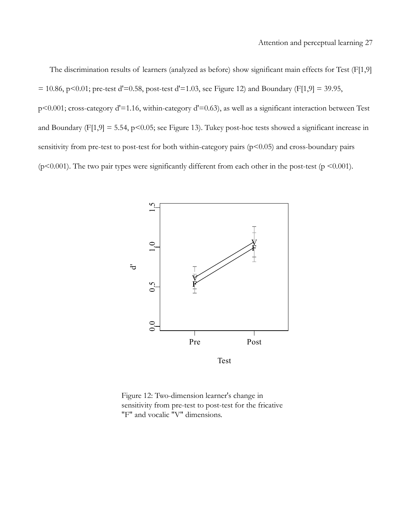The discrimination results of learners (analyzed as before) show significant main effects for Test (F[1,9]  $= 10.86$ , p<0.01; pre-test d'=0.58, post-test d'=1.03, see [Figure 12\)](#page-26-0) and Boundary (F[1,9] = 39.95, p<0.001; cross-category d'=1.16, within-category d'=0.63), as well as a significant interaction between Test and Boundary (F[1,9] = 5.54, p<0.05; see [Figure 13\)](#page-27-0). Tukey post-hoc tests showed a significant increase in sensitivity from pre-test to post-test for both within-category pairs (p<0.05) and cross-boundary pairs ( $p$ <0.001). The two pair types were significantly different from each other in the post-test ( $p$  <0.001).



<span id="page-26-0"></span>Figure 12: Two-dimension learner's change in sensitivity from pre-test to post-test for the fricative "F" and vocalic "V" dimensions.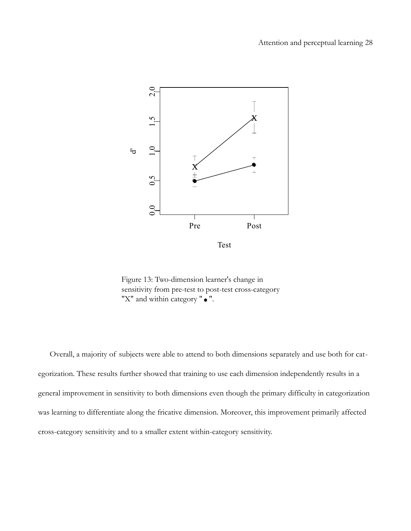

<span id="page-27-0"></span>Figure 13: Two-dimension learner's change in sensitivity from pre-test to post-test cross-category "X" and within category " $\bullet$ ".

Overall, a majority of subjects were able to attend to both dimensions separately and use both for categorization. These results further showed that training to use each dimension independently results in a general improvement in sensitivity to both dimensions even though the primary difficulty in categorization was learning to differentiate along the fricative dimension. Moreover, this improvement primarily affected cross-category sensitivity and to a smaller extent within-category sensitivity.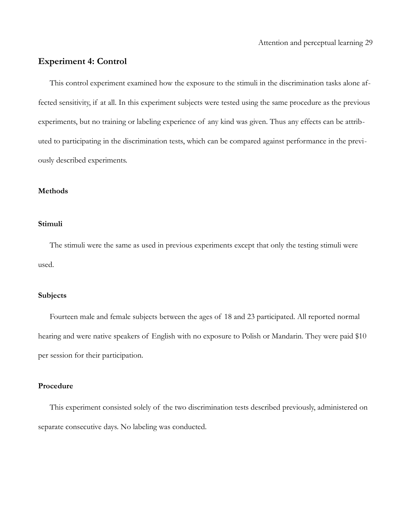## **Experiment 4: Control**

This control experiment examined how the exposure to the stimuli in the discrimination tasks alone affected sensitivity, if at all. In this experiment subjects were tested using the same procedure as the previous experiments, but no training or labeling experience of any kind was given. Thus any effects can be attributed to participating in the discrimination tests, which can be compared against performance in the previously described experiments.

#### **Methods**

## **Stimuli**

The stimuli were the same as used in previous experiments except that only the testing stimuli were used.

## **Subjects**

Fourteen male and female subjects between the ages of 18 and 23 participated. All reported normal hearing and were native speakers of English with no exposure to Polish or Mandarin. They were paid \$10 per session for their participation.

#### **Procedure**

This experiment consisted solely of the two discrimination tests described previously, administered on separate consecutive days. No labeling was conducted.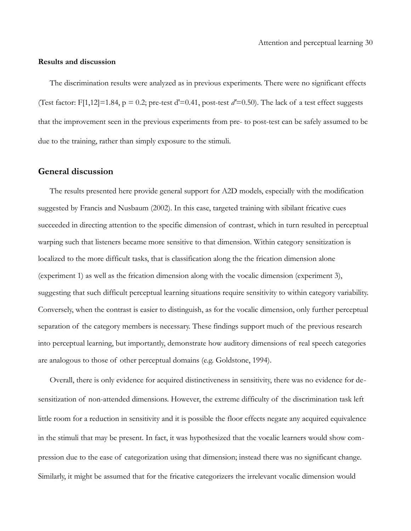#### **Results and discussion**

The discrimination results were analyzed as in previous experiments. There were no significant effects (Test factor: F[1,12]=1.84,  $p = 0.2$ ; pre-test d'=0.41, post-test d'=0.50). The lack of a test effect suggests that the improvement seen in the previous experiments from pre- to post-test can be safely assumed to be due to the training, rather than simply exposure to the stimuli.

## **General discussion**

The results presented here provide general support for A2D models, especially with the modification suggested by Francis and Nusbaum (2002). In this case, targeted training with sibilant fricative cues succeeded in directing attention to the specific dimension of contrast, which in turn resulted in perceptual warping such that listeners became more sensitive to that dimension. Within category sensitization is localized to the more difficult tasks, that is classification along the the frication dimension alone (experiment 1) as well as the frication dimension along with the vocalic dimension (experiment 3), suggesting that such difficult perceptual learning situations require sensitivity to within category variability. Conversely, when the contrast is easier to distinguish, as for the vocalic dimension, only further perceptual separation of the category members is necessary. These findings support much of the previous research into perceptual learning, but importantly, demonstrate how auditory dimensions of real speech categories are analogous to those of other perceptual domains (e.g. Goldstone, 1994).

Overall, there is only evidence for acquired distinctiveness in sensitivity, there was no evidence for desensitization of non-attended dimensions. However, the extreme difficulty of the discrimination task left little room for a reduction in sensitivity and it is possible the floor effects negate any acquired equivalence in the stimuli that may be present. In fact, it was hypothesized that the vocalic learners would show compression due to the ease of categorization using that dimension; instead there was no significant change. Similarly, it might be assumed that for the fricative categorizers the irrelevant vocalic dimension would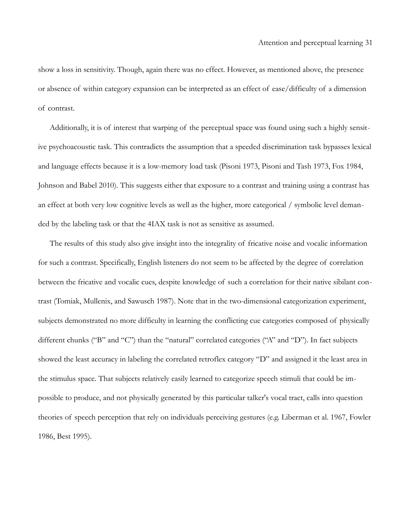show a loss in sensitivity. Though, again there was no effect. However, as mentioned above, the presence or absence of within category expansion can be interpreted as an effect of ease/difficulty of a dimension of contrast.

Additionally, it is of interest that warping of the perceptual space was found using such a highly sensitive psychoacoustic task. This contradicts the assumption that a speeded discrimination task bypasses lexical and language effects because it is a low-memory load task (Pisoni 1973, Pisoni and Tash 1973, Fox 1984, Johnson and Babel 2010). This suggests either that exposure to a contrast and training using a contrast has an effect at both very low cognitive levels as well as the higher, more categorical / symbolic level demanded by the labeling task or that the 4IAX task is not as sensitive as assumed.

The results of this study also give insight into the integrality of fricative noise and vocalic information for such a contrast. Specifically, English listeners do not seem to be affected by the degree of correlation between the fricative and vocalic cues, despite knowledge of such a correlation for their native sibilant contrast (Tomiak, Mullenix, and Sawusch 1987). Note that in the two-dimensional categorization experiment, subjects demonstrated no more difficulty in learning the conflicting cue categories composed of physically different chunks ("B" and "C") than the "natural" correlated categories ("A" and "D"). In fact subjects showed the least accuracy in labeling the correlated retroflex category "D" and assigned it the least area in the stimulus space. That subjects relatively easily learned to categorize speech stimuli that could be impossible to produce, and not physically generated by this particular talker's vocal tract, calls into question theories of speech perception that rely on individuals perceiving gestures (e.g. Liberman et al. 1967, Fowler 1986, Best 1995).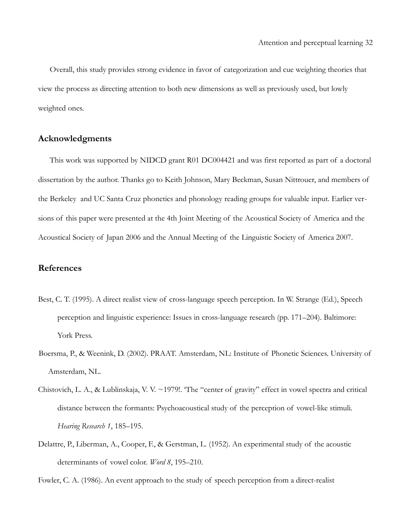Overall, this study provides strong evidence in favor of categorization and cue weighting theories that view the process as directing attention to both new dimensions as well as previously used, but lowly weighted ones.

## **Acknowledgments**

This work was supported by NIDCD grant R01 DC004421 and was first reported as part of a doctoral dissertation by the author. Thanks go to Keith Johnson, Mary Beckman, Susan Nittrouer, and members of the Berkeley and UC Santa Cruz phonetics and phonology reading groups for valuable input. Earlier versions of this paper were presented at the 4th Joint Meeting of the Acoustical Society of America and the Acoustical Society of Japan 2006 and the Annual Meeting of the Linguistic Society of America 2007.

## **References**

- Best, C. T. (1995). A direct realist view of cross-language speech perception. In W. Strange (Ed.), Speech perception and linguistic experience: Issues in cross-language research (pp. 171–204). Baltimore: York Press.
- Boersma, P., & Weenink, D. (2002). PRAAT. Amsterdam, NL: Institute of Phonetic Sciences. University of Amsterdam, NL.
- Chistovich, L. A., & Lublinskaja, V. V. ~1979!. 'The "center of gravity" effect in vowel spectra and critical distance between the formants: Psychoacoustical study of the perception of vowel-like stimuli. *Hearing Research 1*, 185–195.
- Delattre, P., Liberman, A., Cooper, F., & Gerstman, L. (1952). An experimental study of the acoustic determinants of vowel color. *Word 8*, 195–210.

Fowler, C. A. (1986). An event approach to the study of speech perception from a direct-realist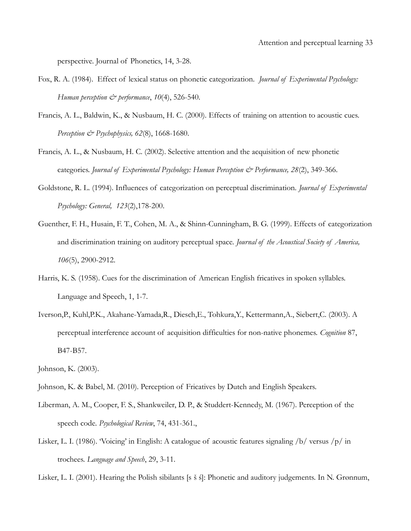perspective. Journal of Phonetics, 14, 3-28.

- Fox, R. A. (1984). Effect of lexical status on phonetic categorization. *Journal of Experimental Psychology: Human perception*  $\mathcal{Q}^*$  *performance, 10(4), 526-540.*
- Francis, A. L., Baldwin, K., & Nusbaum, H. C. (2000). Effects of training on attention to acoustic cues. *Perception & Psychophysics, 62*(8), 1668-1680.
- Francis, A. L., & Nusbaum, H. C. (2002). Selective attention and the acquisition of new phonetic categories. *Journal of Experimental Psychology: Human Perception & Performance, 28(2)*, 349-366.
- Goldstone, R. L. (1994). Influences of categorization on perceptual discrimination. *Journal of Experimental Psychology: General, 123*(2),178-200.
- Guenther, F. H., Husain, F. T., Cohen, M. A., & Shinn-Cunningham, B. G. (1999). Effects of categorization and discrimination training on auditory perceptual space. *Journal of the Acoustical Society of America, 106*(5), 2900-2912.
- Harris, K. S. (1958). Cues for the discrimination of American English fricatives in spoken syllables. Language and Speech, 1, 1-7.
- Iverson,P., Kuhl,P.K., Akahane-Yamada,R., Diesch,E., Tohkura,Y., Kettermann,A., Siebert,C. (2003). A perceptual interference account of acquisition difficulties for non-native phonemes. *Cognition* 87, B47-B57.

Johnson, K. (2003).

- Johnson, K. & Babel, M. (2010). Perception of Fricatives by Dutch and English Speakers.
- Liberman, A. M., Cooper, F. S., Shankweiler, D. P., & Studdert-Kennedy, M. (1967). Perception of the speech code. *Psychological Review*, 74, 431-361.,
- Lisker, L. I. (1986). 'Voicing' in English: A catalogue of acoustic features signaling /b/ versus /p/ in trochees. *Language and Speech*, 29, 3-11.

Lisker, L. I. (2001). Hearing the Polish sibilants [s š ś]: Phonetic and auditory judgements. In N. Grønnum,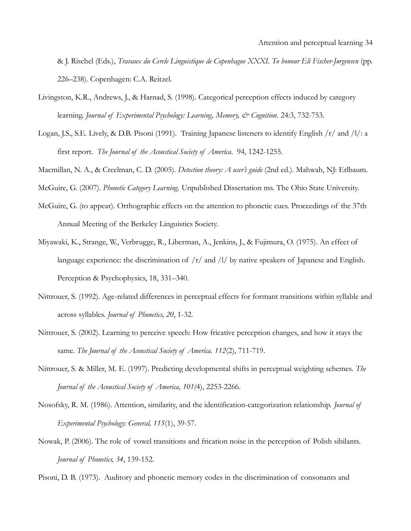& J. Rischel (Eds.), *Travaux du Cercle Linguistique de Copenhague XXXI. To honour Eli Fischer-Jørgensen* (pp. 226–238). Copenhagen: C.A. Reitzel.

- Livingston, K.R., Andrews, J., & Harnad, S. (1998). Categorical perception effects induced by category learning. *Journal of Experimental Psychology: Learning, Memory, & Cognition*. 24:3, 732-753.
- Logan, J.S., S.E. Lively, & D.B. Pisoni (1991). Training Japanese listeners to identify English /r/ and /l/: a first report. *The Journal of the Acoustical Society of America*. 94, 1242-1255.
- Macmillan, N. A., & Creelman, C. D. (2005). *Detection theory: A user's guide* (2nd ed.). Mahwah, NJ: Erlbaum.

McGuire, G. (2007). *Phonetic Category Learning.* Unpublished Dissertation ms. The Ohio State University.

- McGuire, G. (to appear). Orthographic effects on the attention to phonetic cues. Proceedings of the 37th Annual Meeting of the Berkeley Linguistics Society.
- Miyawaki, K., Strange, W., Verbrugge, R., Liberman, A., Jenkins, J., & Fujimura, O. (1975). An effect of language experience: the discrimination of  $/r/$  and  $/1/$  by native speakers of Japanese and English. Perception & Psychophysics, 18, 331–340.
- Nittrouer, S. (1992). Age-related differences in perceptual effects for formant transitions within syllable and across syllables. *Journal of Phonetics, 20*, 1-32.
- Nittrouer, S. (2002). Learning to perceive speech: How fricative perception changes, and how it stays the same. *The Journal of the Acoustical Society of America. 112*(2), 711-719.
- Nittrouer, S. & Miller, M. E. (1997). Predicting developmental shifts in perceptual weighting schemes. *The Journal of the Acoustical Society of America, 101(*4), 2253-2266.
- Nosofsky, R. M. (1986). Attention, similarity, and the identification-categorization relationship. *Journal of Experimental Psychology: General, 115*(1), 39-57.
- Nowak, P. (2006). The role of vowel transitions and frication noise in the perception of Polish sibilants. *Journal of Phonetics, 34*, 139-152.

Pisoni, D. B. (1973). Auditory and phonetic memory codes in the discrimination of consonants and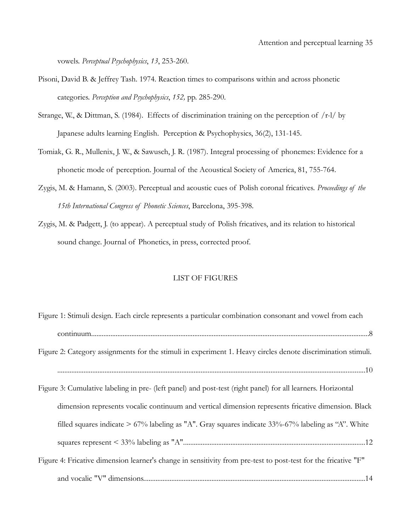vowels. *Perceptual Psychophysics*, *13*, 253-260.

- Pisoni, David B. & Jeffrey Tash. 1974. Reaction times to comparisons within and across phonetic categories. *Perception and Psychophysics*, *152,* pp. 285-290.
- Strange, W., & Dittman, S. (1984). Effects of discrimination training on the perception of  $/r-l$  by Japanese adults learning English. Perception & Psychophysics, 36(2), 131-145.
- Tomiak, G. R., Mullenix, J. W., & Sawusch, J. R. (1987). Integral processing of phonemes: Evidence for a phonetic mode of perception. Journal of the Acoustical Society of America, 81, 755-764.
- Zygis, M. & Hamann, S. (2003). Perceptual and acoustic cues of Polish coronal fricatives. *Proceedings of the 15th International Congress of Phonetic Sciences*, Barcelona, 395-398.
- Zygis, M. & Padgett, J. (to appear). A perceptual study of Polish fricatives, and its relation to historical sound change. Journal of Phonetics, in press, corrected proof.

## LIST OF FIGURES

| Figure 1: Stimuli design. Each circle represents a particular combination consonant and vowel from each        |
|----------------------------------------------------------------------------------------------------------------|
|                                                                                                                |
| Figure 2: Category assignments for the stimuli in experiment 1. Heavy circles denote discrimination stimuli.   |
|                                                                                                                |
| Figure 3: Cumulative labeling in pre- (left panel) and post-test (right panel) for all learners. Horizontal    |
| dimension represents vocalic continuum and vertical dimension represents fricative dimension. Black            |
| filled squares indicate $> 67\%$ labeling as "A". Gray squares indicate 33%-67% labeling as "A". White         |
|                                                                                                                |
| Figure 4: Fricative dimension learner's change in sensitivity from pre-test to post-test for the fricative "F" |
|                                                                                                                |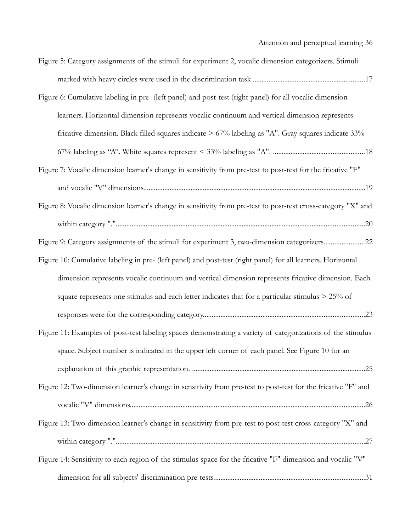| Figure 5: Category assignments of the stimuli for experiment 2, vocalic dimension categorizers. Stimuli       |
|---------------------------------------------------------------------------------------------------------------|
|                                                                                                               |
| Figure 6: Cumulative labeling in pre- (left panel) and post-test (right panel) for all vocalic dimension      |
| learners. Horizontal dimension represents vocalic continuum and vertical dimension represents                 |
| fricative dimension. Black filled squares indicate $> 67\%$ labeling as "A". Gray squares indicate 33%-       |
|                                                                                                               |
| Figure 7: Vocalic dimension learner's change in sensitivity from pre-test to post-test for the fricative "F"  |
|                                                                                                               |
| Figure 8: Vocalic dimension learner's change in sensitivity from pre-test to post-test cross-category "X" and |
|                                                                                                               |
| Figure 9: Category assignments of the stimuli for experiment 3, two-dimension categorizers22                  |
| Figure 10: Cumulative labeling in pre- (left panel) and post-test (right panel) for all learners. Horizontal  |
| dimension represents vocalic continuum and vertical dimension represents fricative dimension. Each            |
| square represents one stimulus and each letter indicates that for a particular stimulus > 25% of              |
|                                                                                                               |
| Figure 11: Examples of post-test labeling spaces demonstrating a variety of categorizations of the stimulus   |
| space. Subject number is indicated in the upper left corner of each panel. See Figure 10 for an               |
|                                                                                                               |
| Figure 12: Two-dimension learner's change in sensitivity from pre-test to post-test for the fricative "F" and |
|                                                                                                               |
| Figure 13: Two-dimension learner's change in sensitivity from pre-test to post-test cross-category "X" and    |
|                                                                                                               |
| Figure 14: Sensitivity to each region of the stimulus space for the fricative "F" dimension and vocalic "V"   |
|                                                                                                               |